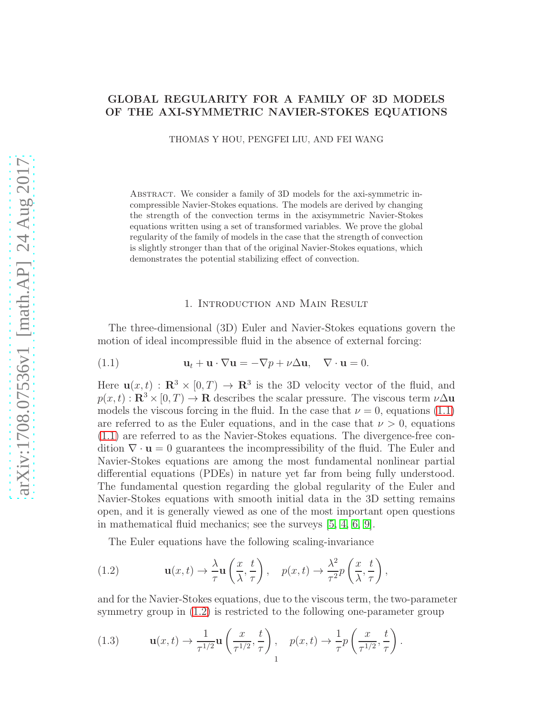# GLOBAL REGULARITY FOR A FAMILY OF 3D MODELS OF THE AXI-SYMMETRIC NAVIER-STOKES EQUATIONS

THOMAS Y HOU, PENGFEI LIU, AND FEI WANG

Abstract. We consider a family of 3D models for the axi-symmetric incompressible Navier-Stokes equations. The models are derived by changing the strength of the convection terms in the axisymmetric Navier-Stokes equations written using a set of transformed variables. We prove the global regularity of the family of models in the case that the strength of convection is slightly stronger than that of the original Navier-Stokes equations, which demonstrates the potential stabilizing effect of convection.

# <span id="page-0-0"></span>1. Introduction and Main Result

The three-dimensional (3D) Euler and Navier-Stokes equations govern the motion of ideal incompressible fluid in the absence of external forcing:

(1.1) 
$$
\mathbf{u}_t + \mathbf{u} \cdot \nabla \mathbf{u} = -\nabla p + \nu \Delta \mathbf{u}, \quad \nabla \cdot \mathbf{u} = 0.
$$

Here  $\mathbf{u}(x,t) : \mathbf{R}^3 \times [0,T) \to \mathbf{R}^3$  is the 3D velocity vector of the fluid, and  $p(x, t) : \mathbf{R}^3 \times [0, T] \to \mathbf{R}$  describes the scalar pressure. The viscous term  $\nu \Delta \mathbf{u}$ models the viscous forcing in the fluid. In the case that  $\nu = 0$ , equations [\(1.1\)](#page-0-0) are referred to as the Euler equations, and in the case that  $\nu > 0$ , equations [\(1.1\)](#page-0-0) are referred to as the Navier-Stokes equations. The divergence-free condition  $\nabla \cdot \mathbf{u} = 0$  guarantees the incompressibility of the fluid. The Euler and Navier-Stokes equations are among the most fundamental nonlinear partial differential equations (PDEs) in nature yet far from being fully understood. The fundamental question regarding the global regularity of the Euler and Navier-Stokes equations with smooth initial data in the 3D setting remains open, and it is generally viewed as one of the most important open questions in mathematical fluid mechanics; see the surveys [\[5,](#page-13-0) [4,](#page-13-1) [6,](#page-13-2) [9\]](#page-13-3).

<span id="page-0-1"></span>The Euler equations have the following scaling-invariance

(1.2) 
$$
\mathbf{u}(x,t) \to \frac{\lambda}{\tau} \mathbf{u}\left(\frac{x}{\lambda},\frac{t}{\tau}\right), \quad p(x,t) \to \frac{\lambda^2}{\tau^2} p\left(\frac{x}{\lambda},\frac{t}{\tau}\right),
$$

and for the Navier-Stokes equations, due to the viscous term, the two-parameter symmetry group in [\(1.2\)](#page-0-1) is restricted to the following one-parameter group

<span id="page-0-2"></span>(1.3) 
$$
\mathbf{u}(x,t) \to \frac{1}{\tau^{1/2}} \mathbf{u}\left(\frac{x}{\tau^{1/2}},\frac{t}{\tau}\right), \quad p(x,t) \to \frac{1}{\tau} p\left(\frac{x}{\tau^{1/2}},\frac{t}{\tau}\right).
$$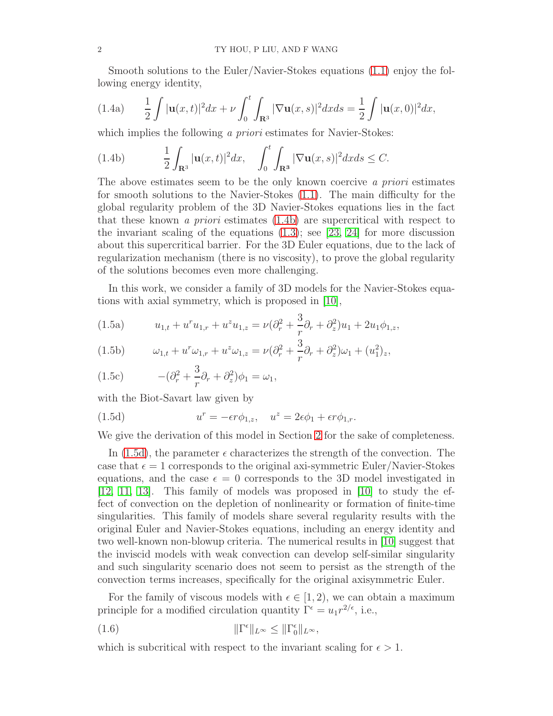<span id="page-1-4"></span>Smooth solutions to the Euler/Navier-Stokes equations [\(1.1\)](#page-0-0) enjoy the following energy identity,

(1.4a) 
$$
\frac{1}{2} \int |\mathbf{u}(x,t)|^2 dx + \nu \int_0^t \int_{\mathbf{R}^3} |\nabla \mathbf{u}(x,s)|^2 dx ds = \frac{1}{2} \int |\mathbf{u}(x,0)|^2 dx,
$$

which implies the following a priori estimates for Navier-Stokes:

<span id="page-1-0"></span>(1.4b) 
$$
\frac{1}{2}\int_{\mathbf{R}^3}|\mathbf{u}(x,t)|^2dx, \quad \int_0^t\int_{\mathbf{R}^3}|\nabla\mathbf{u}(x,s)|^2dxds\leq C.
$$

The above estimates seem to be the only known coercive a priori estimates for smooth solutions to the Navier-Stokes [\(1.1\)](#page-0-0). The main difficulty for the global regularity problem of the 3D Navier-Stokes equations lies in the fact that these known a priori estimates [\(1.4b\)](#page-1-0) are supercritical with respect to the invariant scaling of the equations  $(1.3)$ ; see [\[23,](#page-14-0) [24\]](#page-14-1) for more discussion about this supercritical barrier. For the 3D Euler equations, due to the lack of regularization mechanism (there is no viscosity), to prove the global regularity of the solutions becomes even more challenging.

<span id="page-1-2"></span>In this work, we consider a family of 3D models for the Navier-Stokes equations with axial symmetry, which is proposed in [\[10\]](#page-13-4),

(1.5a) 
$$
u_{1,t} + u^r u_{1,r} + u^z u_{1,z} = \nu (\partial_r^2 + \frac{3}{r} \partial_r + \partial_z^2) u_1 + 2u_1 \phi_{1,z},
$$

(1.5b) 
$$
\omega_{1,t} + u^r \omega_{1,r} + u^z \omega_{1,z} = \nu (\partial_r^2 + \frac{3}{r} \partial_r + \partial_z^2) \omega_1 + (u_1^2)_z,
$$

(1.5c) 
$$
-(\partial_r^2 + \frac{3}{r}\partial_r + \partial_z^2)\phi_1 = \omega_1,
$$

with the Biot-Savart law given by

<span id="page-1-1"></span>(1.5d) 
$$
u^r = -\epsilon r \phi_{1,z}, \quad u^z = 2\epsilon \phi_1 + \epsilon r \phi_{1,r}.
$$

We give the derivation of this model in Section [2](#page-2-0) for the sake of completeness.

In  $(1.5d)$ , the parameter  $\epsilon$  characterizes the strength of the convection. The case that  $\epsilon = 1$  corresponds to the original axi-symmetric Euler/Navier-Stokes equations, and the case  $\epsilon = 0$  corresponds to the 3D model investigated in [\[12,](#page-13-5) [11,](#page-13-6) [13\]](#page-13-7). This family of models was proposed in [\[10\]](#page-13-4) to study the effect of convection on the depletion of nonlinearity or formation of finite-time singularities. This family of models share several regularity results with the original Euler and Navier-Stokes equations, including an energy identity and two well-known non-blowup criteria. The numerical results in [\[10\]](#page-13-4) suggest that the inviscid models with weak convection can develop self-similar singularity and such singularity scenario does not seem to persist as the strength of the convection terms increases, specifically for the original axisymmetric Euler.

For the family of viscous models with  $\epsilon \in [1, 2)$ , we can obtain a maximum principle for a modified circulation quantity  $\Gamma^{\epsilon} = u_1 r^{2/\epsilon}$ , i.e.,

<span id="page-1-3"></span>(1.6) 
$$
\|\Gamma^{\epsilon}\|_{L^{\infty}} \le \|\Gamma_0^{\epsilon}\|_{L^{\infty}},
$$

which is subcritical with respect to the invariant scaling for  $\epsilon > 1$ .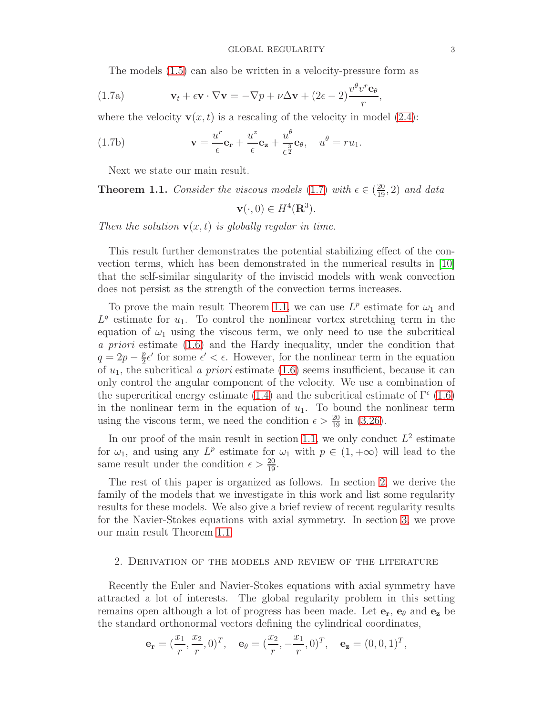The models [\(1.5\)](#page-1-2) can also be written in a velocity-pressure form as

(1.7a) 
$$
\mathbf{v}_t + \epsilon \mathbf{v} \cdot \nabla \mathbf{v} = -\nabla p + \nu \Delta \mathbf{v} + (2\epsilon - 2) \frac{v^{\theta} v^{r} \mathbf{e}_{\theta}}{r},
$$

where the velocity  $\mathbf{v}(x, t)$  is a rescaling of the velocity in model [\(2.4\)](#page-3-0):

(1.7b) 
$$
\mathbf{v} = \frac{u^r}{\epsilon} \mathbf{e_r} + \frac{u^z}{\epsilon} \mathbf{e_z} + \frac{u^{\theta}}{\epsilon^{\frac{3}{2}}} \mathbf{e_{\theta}}, \quad u^{\theta} = ru_1.
$$

Next we state our main result.

<span id="page-2-2"></span>**Theorem 1.1.** Consider the viscous models [\(1.7\)](#page-2-1) with  $\epsilon \in (\frac{20}{19}, 2)$  and data

<span id="page-2-1"></span>
$$
\mathbf{v}(\cdot,0) \in H^4(\mathbf{R}^3).
$$

Then the solution  $\mathbf{v}(x,t)$  is globally regular in time.

This result further demonstrates the potential stabilizing effect of the convection terms, which has been demonstrated in the numerical results in [\[10\]](#page-13-4) that the self-similar singularity of the inviscid models with weak convection does not persist as the strength of the convection terms increases.

To prove the main result Theorem [1.1,](#page-2-2) we can use  $L^p$  estimate for  $\omega_1$  and  $L<sup>q</sup>$  estimate for  $u_1$ . To control the nonlinear vortex stretching term in the equation of  $\omega_1$  using the viscous term, we only need to use the subcritical a priori estimate [\(1.6\)](#page-1-3) and the Hardy inequality, under the condition that  $q = 2p - \frac{p}{2} \epsilon'$  for some  $\epsilon' < \epsilon$ . However, for the nonlinear term in the equation of  $u_1$ , the subcritical a priori estimate [\(1.6\)](#page-1-3) seems insufficient, because it can only control the angular component of the velocity. We use a combination of the supercritical energy estimate [\(1.4\)](#page-1-4) and the subcritical estimate of  $\Gamma^{\epsilon}$  [\(1.6\)](#page-1-3) in the nonlinear term in the equation of  $u_1$ . To bound the nonlinear term using the viscous term, we need the condition  $\epsilon > \frac{20}{19}$  in [\(3.26\)](#page-10-0).

In our proof of the main result in section [1.1,](#page-2-2) we only conduct  $L^2$  estimate for  $\omega_1$ , and using any L<sup>p</sup> estimate for  $\omega_1$  with  $p \in (1, +\infty)$  will lead to the same result under the condition  $\epsilon > \frac{20}{19}$ .

The rest of this paper is organized as follows. In section [2,](#page-2-0) we derive the family of the models that we investigate in this work and list some regularity results for these models. We also give a brief review of recent regularity results for the Navier-Stokes equations with axial symmetry. In section [3,](#page-6-0) we prove our main result Theorem [1.1.](#page-2-2)

#### <span id="page-2-0"></span>2. Derivation of the models and review of the literature

Recently the Euler and Navier-Stokes equations with axial symmetry have attracted a lot of interests. The global regularity problem in this setting remains open although a lot of progress has been made. Let  $e_r$ ,  $e_\theta$  and  $e_z$  be the standard orthonormal vectors defining the cylindrical coordinates,

$$
\mathbf{e_r} = (\frac{x_1}{r}, \frac{x_2}{r}, 0)^T, \quad \mathbf{e_\theta} = (\frac{x_2}{r}, -\frac{x_1}{r}, 0)^T, \quad \mathbf{e_z} = (0, 0, 1)^T,
$$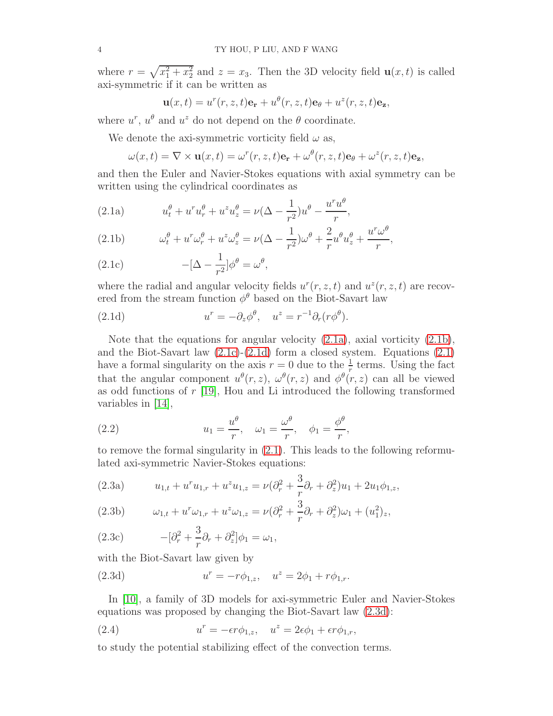where  $r = \sqrt{x_1^2 + x_2^2}$  and  $z = x_3$ . Then the 3D velocity field  $\mathbf{u}(x, t)$  is called axi-symmetric if it can be written as

<span id="page-3-5"></span>
$$
\mathbf{u}(x,t) = u^r(r,z,t)\mathbf{e_r} + u^{\theta}(r,z,t)\mathbf{e_{\theta}} + u^z(r,z,t)\mathbf{e_z},
$$

where  $u^r$ ,  $u^{\theta}$  and  $u^z$  do not depend on the  $\theta$  coordinate.

We denote the axi-symmetric vorticity field  $\omega$  as,

$$
\omega(x,t) = \nabla \times \mathbf{u}(x,t) = \omega^r(r,z,t)\mathbf{e}_\mathbf{r} + \omega^\theta(r,z,t)\mathbf{e}_\theta + \omega^z(r,z,t)\mathbf{e}_\mathbf{z},
$$

and then the Euler and Navier-Stokes equations with axial symmetry can be written using the cylindrical coordinates as

<span id="page-3-1"></span>(2.1a) 
$$
u_t^{\theta} + u^r u_r^{\theta} + u^z u_z^{\theta} = \nu (\Delta - \frac{1}{r^2}) u^{\theta} - \frac{u^r u^{\theta}}{r},
$$

<span id="page-3-2"></span>(2.1b) 
$$
\omega_t^{\theta} + u^r \omega_r^{\theta} + u^z \omega_z^{\theta} = \nu (\Delta - \frac{1}{r^2}) \omega^{\theta} + \frac{2}{r} u^{\theta} u_z^{\theta} + \frac{u^r \omega^{\theta}}{r},
$$

<span id="page-3-3"></span>(2.1c) 
$$
-[\Delta - \frac{1}{r^2}]\phi^{\theta} = \omega^{\theta},
$$

where the radial and angular velocity fields  $u^r(r, z, t)$  and  $u^z(r, z, t)$  are recovered from the stream function  $\phi^{\theta}$  based on the Biot-Savart law

<span id="page-3-4"></span>(2.1d) 
$$
u^r = -\partial_z \phi^\theta, \quad u^z = r^{-1} \partial_r (r \phi^\theta).
$$

Note that the equations for angular velocity  $(2.1a)$ , axial vorticity  $(2.1b)$ , and the Biot-Savart law  $(2.1c)-(2.1d)$  $(2.1c)-(2.1d)$  form a closed system. Equations  $(2.1)$ have a formal singularity on the axis  $r = 0$  due to the  $\frac{1}{r}$  terms. Using the fact that the angular component  $u^{\theta}(r, z)$ ,  $\omega^{\theta}(r, z)$  and  $\phi^{\theta}(r, z)$  can all be viewed as odd functions of  $r$  [\[19\]](#page-14-2), Hou and Li introduced the following transformed variables in [\[14\]](#page-13-8),

(2.2) 
$$
u_1 = \frac{u^{\theta}}{r}, \quad \omega_1 = \frac{\omega^{\theta}}{r}, \quad \phi_1 = \frac{\phi^{\theta}}{r},
$$

to remove the formal singularity in [\(2.1\)](#page-3-5). This leads to the following reformulated axi-symmetric Navier-Stokes equations:

<span id="page-3-9"></span><span id="page-3-7"></span>(2.3a) 
$$
u_{1,t} + u^r u_{1,r} + u^z u_{1,z} = \nu (\partial_r^2 + \frac{3}{r} \partial_r + \partial_z^2) u_1 + 2u_1 \phi_{1,z},
$$

<span id="page-3-8"></span>(2.3b) 
$$
\omega_{1,t} + u^r \omega_{1,r} + u^z \omega_{1,z} = \nu (\partial_r^2 + \frac{3}{r} \partial_r + \partial_z^2) \omega_1 + (u_1^2)_z,
$$

(2.3c) 
$$
-[\partial_r^2 + \frac{3}{r}\partial_r + \partial_z^2]\phi_1 = \omega_1,
$$

with the Biot-Savart law given by

<span id="page-3-6"></span>(2.3d) 
$$
u^r = -r\phi_{1,z}, \quad u^z = 2\phi_1 + r\phi_{1,r}.
$$

In [\[10\]](#page-13-4), a family of 3D models for axi-symmetric Euler and Navier-Stokes equations was proposed by changing the Biot-Savart law [\(2.3d\)](#page-3-6):

<span id="page-3-0"></span>(2.4) 
$$
u^r = -\epsilon r \phi_{1,z}, \quad u^z = 2\epsilon \phi_1 + \epsilon r \phi_{1,r},
$$

to study the potential stabilizing effect of the convection terms.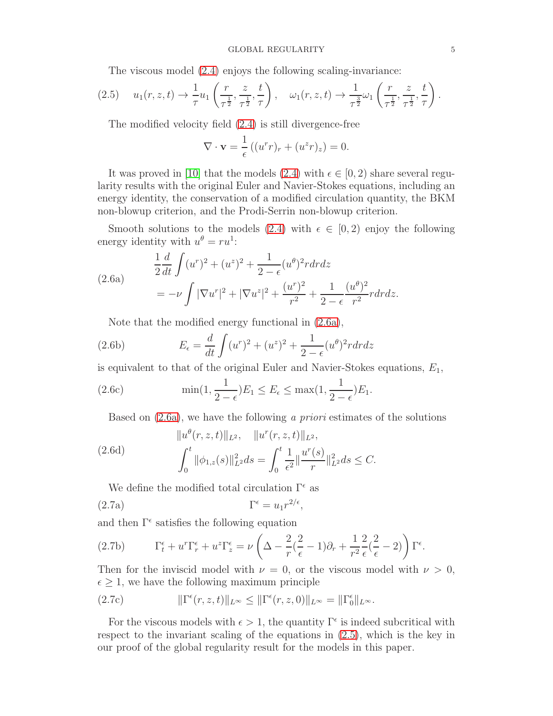<span id="page-4-1"></span>The viscous model [\(2.4\)](#page-3-0) enjoys the following scaling-invariance:

$$
(2.5) \t u_1(r, z, t) \to \frac{1}{\tau} u_1\left(\frac{r}{\tau^{\frac{1}{2}}}, \frac{z}{\tau^{\frac{1}{2}}}, \frac{t}{\tau}\right), \t w_1(r, z, t) \to \frac{1}{\tau^{\frac{3}{2}}} w_1\left(\frac{r}{\tau^{\frac{1}{2}}}, \frac{z}{\tau^{\frac{1}{2}}}, \frac{t}{\tau}\right).
$$

The modified velocity field [\(2.4\)](#page-3-0) is still divergence-free

<span id="page-4-3"></span>
$$
\nabla \cdot \mathbf{v} = \frac{1}{\epsilon} \left( (u^r r)_r + (u^z r)_z \right) = 0.
$$

It was proved in [\[10\]](#page-13-4) that the models [\(2.4\)](#page-3-0) with  $\epsilon \in [0, 2)$  share several regularity results with the original Euler and Navier-Stokes equations, including an energy identity, the conservation of a modified circulation quantity, the BKM non-blowup criterion, and the Prodi-Serrin non-blowup criterion.

Smooth solutions to the models [\(2.4\)](#page-3-0) with  $\epsilon \in [0,2)$  enjoy the following energy identity with  $u^{\theta} = ru^{1}$ :

<span id="page-4-0"></span>(2.6a)  
\n
$$
\frac{1}{2}\frac{d}{dt}\int (u^r)^2 + (u^z)^2 + \frac{1}{2-\epsilon}(u^{\theta})^2 r dr dz
$$
\n
$$
= -\nu \int |\nabla u^r|^2 + |\nabla u^z|^2 + \frac{(u^r)^2}{r^2} + \frac{1}{2-\epsilon} \frac{(u^{\theta})^2}{r^2} r dr dz.
$$

Note that the modified energy functional in [\(2.6a\)](#page-4-0),

(2.6b) 
$$
E_{\epsilon} = \frac{d}{dt} \int (u^{r})^{2} + (u^{z})^{2} + \frac{1}{2 - \epsilon} (u^{\theta})^{2} r dr dz
$$

is equivalent to that of the original Euler and Navier-Stokes equations,  $E_1$ ,

(2.6c) 
$$
\min(1, \frac{1}{2-\epsilon})E_1 \le E_{\epsilon} \le \max(1, \frac{1}{2-\epsilon})E_1.
$$

Based on  $(2.6a)$ , we have the following *a priori* estimates of the solutions

(2.6d)  

$$
\|u^{\theta}(r, z, t)\|_{L^{2}}, \quad \|u^{r}(r, z, t)\|_{L^{2}},
$$

$$
\int_{0}^{t} \|\phi_{1,z}(s)\|_{L^{2}}^{2} ds = \int_{0}^{t} \frac{1}{\epsilon^{2}} \|\frac{u^{r}(s)}{r}\|_{L^{2}}^{2} ds \leq C.
$$

<span id="page-4-2"></span>We define the modified total circulation  $\Gamma^{\epsilon}$  as

$$
(2.7a)\t\t \t\Gamma^{\epsilon} = u_1 r^{2/\epsilon},
$$

and then  $\Gamma^{\epsilon}$  satisfies the following equation

(2.7b) 
$$
\Gamma_t^{\epsilon} + u^r \Gamma_r^{\epsilon} + u^z \Gamma_z^{\epsilon} = \nu \left( \Delta - \frac{2}{r} \left( \frac{2}{\epsilon} - 1 \right) \partial_r + \frac{1}{r^2} \frac{2}{\epsilon} \left( \frac{2}{\epsilon} - 2 \right) \right) \Gamma^{\epsilon}.
$$

Then for the inviscid model with  $\nu = 0$ , or the viscous model with  $\nu > 0$ ,  $\epsilon \geq 1$ , we have the following maximum principle

(2.7c) 
$$
\|\Gamma^{\epsilon}(r,z,t)\|_{L^{\infty}} \leq \|\Gamma^{\epsilon}(r,z,0)\|_{L^{\infty}} = \|\Gamma^{\epsilon}_{0}\|_{L^{\infty}}.
$$

For the viscous models with  $\epsilon > 1$ , the quantity  $\Gamma^{\epsilon}$  is indeed subcritical with respect to the invariant scaling of the equations in [\(2.5\)](#page-4-1), which is the key in our proof of the global regularity result for the models in this paper.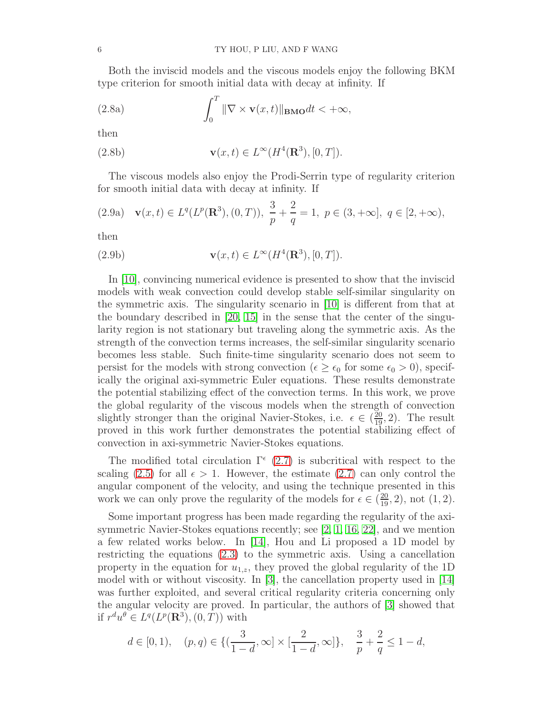Both the inviscid models and the viscous models enjoy the following BKM type criterion for smooth initial data with decay at infinity. If

(2.8a) 
$$
\int_0^T \|\nabla \times \mathbf{v}(x,t)\|_{\mathbf{BMO}} dt < +\infty,
$$

then

(2.8b) 
$$
\mathbf{v}(x,t) \in L^{\infty}(H^4(\mathbf{R}^3), [0,T]).
$$

<span id="page-5-0"></span>The viscous models also enjoy the Prodi-Serrin type of regularity criterion for smooth initial data with decay at infinity. If

(2.9a) 
$$
\mathbf{v}(x,t) \in L^q(L^p(\mathbf{R}^3), (0,T)), \ \frac{3}{p} + \frac{2}{q} = 1, \ p \in (3, +\infty], \ q \in [2, +\infty),
$$

then

(2.9b) 
$$
\mathbf{v}(x,t) \in L^{\infty}(H^4(\mathbf{R}^3), [0,T]).
$$

In [\[10\]](#page-13-4), convincing numerical evidence is presented to show that the inviscid models with weak convection could develop stable self-similar singularity on the symmetric axis. The singularity scenario in [\[10\]](#page-13-4) is different from that at the boundary described in [\[20,](#page-14-3) [15\]](#page-13-9) in the sense that the center of the singularity region is not stationary but traveling along the symmetric axis. As the strength of the convection terms increases, the self-similar singularity scenario becomes less stable. Such finite-time singularity scenario does not seem to persist for the models with strong convection ( $\epsilon \geq \epsilon_0$  for some  $\epsilon_0 > 0$ ), specifically the original axi-symmetric Euler equations. These results demonstrate the potential stabilizing effect of the convection terms. In this work, we prove the global regularity of the viscous models when the strength of convection slightly stronger than the original Navier-Stokes, i.e.  $\epsilon \in (\frac{20}{19}, 2)$ . The result proved in this work further demonstrates the potential stabilizing effect of convection in axi-symmetric Navier-Stokes equations.

The modified total circulation  $\Gamma^{\epsilon}$  [\(2.7\)](#page-4-2) is subcritical with respect to the scaling [\(2.5\)](#page-4-1) for all  $\epsilon > 1$ . However, the estimate [\(2.7\)](#page-4-2) can only control the angular component of the velocity, and using the technique presented in this work we can only prove the regularity of the models for  $\epsilon \in (\frac{20}{19}, 2)$ , not  $(1, 2)$ .

Some important progress has been made regarding the regularity of the axisymmetric Navier-Stokes equations recently; see [\[2,](#page-13-10) [1,](#page-13-11) [16,](#page-13-12) [22\]](#page-14-4), and we mention a few related works below. In [\[14\]](#page-13-8), Hou and Li proposed a 1D model by restricting the equations [\(2.3\)](#page-3-7) to the symmetric axis. Using a cancellation property in the equation for  $u_{1,z}$ , they proved the global regularity of the 1D model with or without viscosity. In [\[3\]](#page-13-13), the cancellation property used in [\[14\]](#page-13-8) was further exploited, and several critical regularity criteria concerning only the angular velocity are proved. In particular, the authors of [\[3\]](#page-13-13) showed that if  $r^d u^{\theta} \in L^q(L^p(\mathbf{R}^3), (0, T))$  with

$$
d \in [0, 1),
$$
  $(p, q) \in \{(\frac{3}{1-d}, \infty] \times [\frac{2}{1-d}, \infty]\},$   $\frac{3}{p} + \frac{2}{q} \le 1 - d,$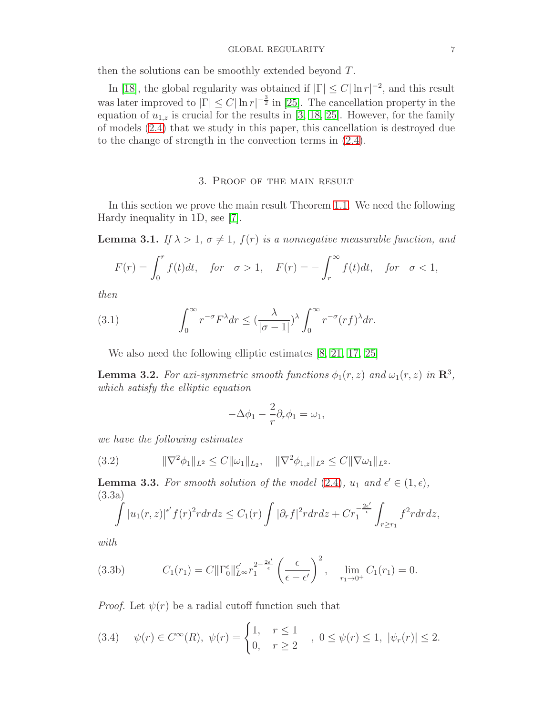### GLOBAL REGULARITY **7**

then the solutions can be smoothly extended beyond T.

In [\[18\]](#page-13-14), the global regularity was obtained if  $|\Gamma| \leq C |\ln r|^{-2}$ , and this result was later improved to  $|\Gamma| \leq C |\ln r|^{-\frac{3}{2}}$  in [\[25\]](#page-14-5). The cancellation property in the equation of  $u_{1,z}$  is crucial for the results in [\[3,](#page-13-13) [18,](#page-13-14) [25\]](#page-14-5). However, for the family of models [\(2.4\)](#page-3-0) that we study in this paper, this cancellation is destroyed due to the change of strength in the convection terms in [\(2.4\)](#page-3-0).

# 3. Proof of the main result

<span id="page-6-0"></span>In this section we prove the main result Theorem [1.1.](#page-2-2) We need the following Hardy inequality in 1D, see [\[7\]](#page-13-15).

**Lemma 3.1.** If  $\lambda > 1$ ,  $\sigma \neq 1$ ,  $f(r)$  is a nonnegative measurable function, and

$$
F(r) = \int_0^r f(t)dt, \quad \text{for} \quad \sigma > 1, \quad F(r) = -\int_r^\infty f(t)dt, \quad \text{for} \quad \sigma < 1,
$$

then

(3.1) 
$$
\int_0^\infty r^{-\sigma} F^\lambda dr \leq \left(\frac{\lambda}{|\sigma - 1|}\right)^\lambda \int_0^\infty r^{-\sigma} (rf)^\lambda dr.
$$

<span id="page-6-1"></span>We also need the following elliptic estimates  $[8, 21, 17, 25]$  $[8, 21, 17, 25]$  $[8, 21, 17, 25]$  $[8, 21, 17, 25]$ 

**Lemma 3.2.** For axi-symmetric smooth functions  $\phi_1(r, z)$  and  $\omega_1(r, z)$  in  $\mathbb{R}^3$ , which satisfy the elliptic equation

$$
-\Delta\phi_1 - \frac{2}{r}\partial_r\phi_1 = \omega_1,
$$

we have the following estimates

<span id="page-6-4"></span>(3.2) 
$$
\|\nabla^2 \phi_1\|_{L^2} \leq C \|\omega_1\|_{L_2}, \quad \|\nabla^2 \phi_{1,z}\|_{L^2} \leq C \|\nabla \omega_1\|_{L^2}.
$$

<span id="page-6-2"></span>**Lemma 3.3.** For smooth solution of the model [\(2.4\)](#page-3-0),  $u_1$  and  $\epsilon' \in (1, \epsilon)$ , (3.3a)

$$
\int |u_1(r,z)|^{\epsilon'} f(r)^2 r dr dz \leq C_1(r) \int |\partial_r f|^2 r dr dz + Cr_1^{-\frac{2\epsilon'}{\epsilon}} \int_{r \geq r_1} f^2 r dr dz,
$$

with

(3.3b) 
$$
C_1(r_1) = C \|\Gamma_0^{\epsilon}\|_{L^{\infty}}^{\epsilon'} r_1^{2-\frac{2\epsilon'}{\epsilon}} \left(\frac{\epsilon}{\epsilon-\epsilon'}\right)^2, \quad \lim_{r_1 \to 0^+} C_1(r_1) = 0.
$$

*Proof.* Let  $\psi(r)$  be a radial cutoff function such that

<span id="page-6-3"></span>
$$
(3.4) \quad \psi(r) \in C^{\infty}(R), \ \psi(r) = \begin{cases} 1, & r \le 1 \\ 0, & r \ge 2 \end{cases}, \ 0 \le \psi(r) \le 1, \ |\psi_r(r)| \le 2.
$$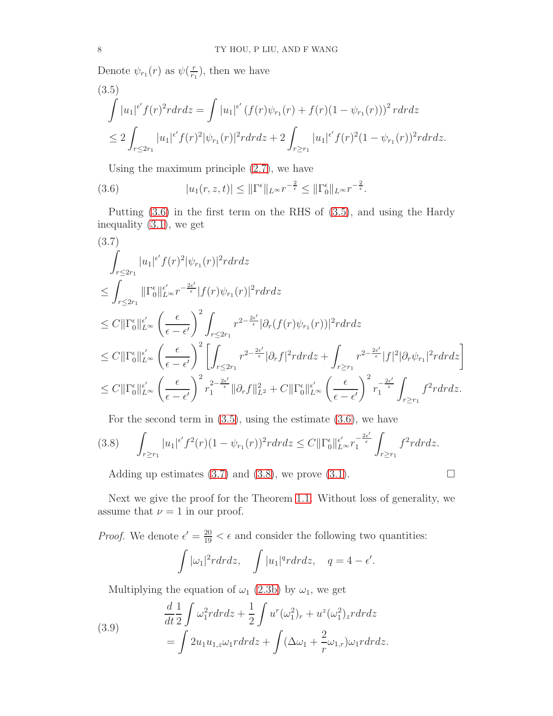Denote  $\psi_{r_1}(r)$  as  $\psi(\frac{r}{r_1})$  $\frac{r}{r_1}$ , then we have

<span id="page-7-1"></span>
$$
(3.5)
$$
\n
$$
\int |u_1|^{\epsilon'} f(r)^2 r dr dz = \int |u_1|^{\epsilon'} (f(r)\psi_{r_1}(r) + f(r)(1 - \psi_{r_1}(r)))^2 r dr dz
$$
\n
$$
\leq 2 \int_{r \leq 2r_1} |u_1|^{\epsilon'} f(r)^2 |\psi_{r_1}(r)|^2 r dr dz + 2 \int_{r \geq r_1} |u_1|^{\epsilon'} f(r)^2 (1 - \psi_{r_1}(r))^2 r dr dz.
$$

<span id="page-7-0"></span>Using the maximum principle [\(2.7\)](#page-4-2), we have

(3.6) 
$$
|u_1(r, z, t)| \leq \|\Gamma^{\epsilon}\|_{L^{\infty}} r^{-\frac{2}{\epsilon}} \leq \|\Gamma_0^{\epsilon}\|_{L^{\infty}} r^{-\frac{2}{\epsilon}}.
$$

Putting [\(3.6\)](#page-7-0) in the first term on the RHS of [\(3.5\)](#page-7-1), and using the Hardy inequality [\(3.1\)](#page-6-1), we get

<span id="page-7-2"></span>
$$
(3.7)
$$
\n
$$
\int_{r \leq 2r_1} |u_1|^{\epsilon'} f(r)^2 |\psi_{r_1}(r)|^2 r dr dz
$$
\n
$$
\leq \int_{r \leq 2r_1} ||\Gamma_0^{\epsilon}||_{L^{\infty}}^{\epsilon'} r^{-\frac{2\epsilon'}{\epsilon}} |f(r)\psi_{r_1}(r)|^2 r dr dz
$$
\n
$$
\leq C ||\Gamma_0^{\epsilon}||_{L^{\infty}}^{\epsilon'} \left(\frac{\epsilon}{\epsilon - \epsilon'}\right)^2 \int_{r \leq 2r_1} r^{2 - \frac{2\epsilon'}{\epsilon}} |\partial_r(f(r)\psi_{r_1}(r))|^2 r dr dz
$$
\n
$$
\leq C ||\Gamma_0^{\epsilon}||_{L^{\infty}}^{\epsilon'} \left(\frac{\epsilon}{\epsilon - \epsilon'}\right)^2 \left[ \int_{r \leq 2r_1} r^{2 - \frac{2\epsilon'}{\epsilon}} |\partial_r f|^2 r dr dz + \int_{r \geq r_1} r^{2 - \frac{2\epsilon'}{\epsilon}} |f|^2 |\partial_r \psi_{r_1}|^2 r dr dz \right]
$$
\n
$$
\leq C ||\Gamma_0^{\epsilon}||_{L^{\infty}}^{\epsilon'} \left(\frac{\epsilon}{\epsilon - \epsilon'}\right)^2 r_1^{2 - \frac{2\epsilon'}{\epsilon}} ||\partial_r f||_{L^2}^2 + C ||\Gamma_0^{\epsilon}||_{L^{\infty}}^{\epsilon'} \left(\frac{\epsilon}{\epsilon - \epsilon'}\right)^2 r_1^{-\frac{2\epsilon'}{\epsilon}} \int_{r \geq r_1} f^2 r dr dz.
$$

<span id="page-7-3"></span>For the second term in  $(3.5)$ , using the estimate  $(3.6)$ , we have

$$
(3.8) \qquad \int_{r\geq r_1} |u_1|^{\epsilon'} f^2(r) (1-\psi_{r_1}(r))^2 r dr dz \leq C ||\Gamma_0^{\epsilon}||_{L^{\infty}}^{\epsilon'} r_1^{-\frac{2\epsilon'}{\epsilon}} \int_{r\geq r_1} f^2 r dr dz.
$$

Adding up estimates [\(3.7\)](#page-7-2) and [\(3.8\)](#page-7-3), we prove [\(3.1\)](#page-6-1).  $\Box$ 

Next we give the proof for the Theorem [1.1.](#page-2-2) Without loss of generality, we assume that  $\nu = 1$  in our proof.

*Proof.* We denote  $\epsilon' = \frac{20}{19} < \epsilon$  and consider the following two quantities:

$$
\int |\omega_1|^2 r dr dz, \quad \int |u_1|^q r dr dz, \quad q = 4 - \epsilon'.
$$

Multiplying the equation of  $\omega_1$  [\(2.3b\)](#page-3-8) by  $\omega_1$ , we get

<span id="page-7-4"></span>(3.9) 
$$
\frac{d}{dt} \frac{1}{2} \int \omega_1^2 r dr dz + \frac{1}{2} \int u^r (\omega_1^2)_r + u^z (\omega_1^2)_z r dr dz
$$

$$
= \int 2u_1 u_{1,z} \omega_1 r dr dz + \int (\Delta \omega_1 + \frac{2}{r} \omega_{1,r}) \omega_1 r dr dz.
$$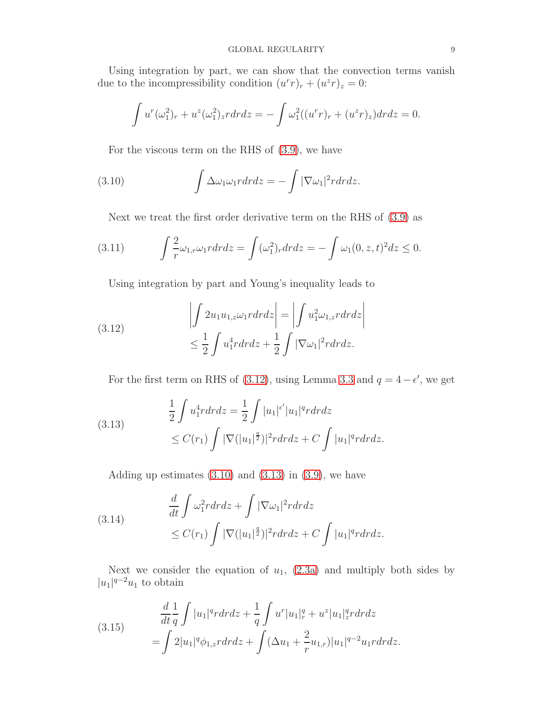Using integration by part, we can show that the convection terms vanish due to the incompressibility condition  $(u^r r)_r + (u^z r)_z = 0$ :

$$
\int u^r(\omega_1^2)_r + u^z(\omega_1^2)_z r dr dz = -\int \omega_1^2((u^r r)_r + (u^z r)_z) dr dz = 0.
$$

<span id="page-8-1"></span>For the viscous term on the RHS of [\(3.9\)](#page-7-4), we have

(3.10) 
$$
\int \Delta \omega_1 \omega_1 r dr dz = - \int |\nabla \omega_1|^2 r dr dz.
$$

Next we treat the first order derivative term on the RHS of [\(3.9\)](#page-7-4) as

(3.11) 
$$
\int \frac{2}{r} \omega_{1,r} \omega_1 r dr dz = \int (\omega_1^2)_r dr dz = - \int \omega_1 (0, z, t)^2 dz \le 0.
$$

Using integration by part and Young's inequality leads to

<span id="page-8-0"></span>(3.12) 
$$
\left| \int 2u_1 u_{1,z} \omega_1 r dr dz \right| = \left| \int u_1^2 \omega_{1,z} r dr dz \right|
$$

$$
\leq \frac{1}{2} \int u_1^4 r dr dz + \frac{1}{2} \int |\nabla \omega_1|^2 r dr dz.
$$

For the first term on RHS of [\(3.12\)](#page-8-0), using Lemma [3.3](#page-6-2) and  $q = 4 - \epsilon'$ , we get

<span id="page-8-2"></span>(3.13) 
$$
\frac{1}{2} \int u_1^4 r dr dz = \frac{1}{2} \int |u_1|^{\epsilon'} |u_1|^q r dr dz
$$

$$
\leq C(r_1) \int |\nabla (|u_1|^{\frac{q}{2}})|^2 r dr dz + C \int |u_1|^q r dr dz.
$$

Adding up estimates  $(3.10)$  and  $(3.13)$  in  $(3.9)$ , we have

<span id="page-8-4"></span>(3.14) 
$$
\frac{d}{dt} \int \omega_1^2 r dr dz + \int |\nabla \omega_1|^2 r dr dz
$$

$$
\leq C(r_1) \int |\nabla (|u_1|^2)|^2 r dr dz + C \int |u_1|^q r dr dz.
$$

Next we consider the equation of  $u_1$ , [\(2.3a\)](#page-3-9) and multiply both sides by  $|u_1|^{q-2}u_1$  to obtain

<span id="page-8-3"></span>(3.15) 
$$
\frac{d}{dt} \frac{1}{q} \int |u_1|^q r dr dz + \frac{1}{q} \int u^r |u_1|_r^q + u^z |u_1|_z^q r dr dz \n= \int 2|u_1|^q \phi_{1,z} r dr dz + \int (\Delta u_1 + \frac{2}{r} u_{1,r}) |u_1|^{q-2} u_1 r dr dz.
$$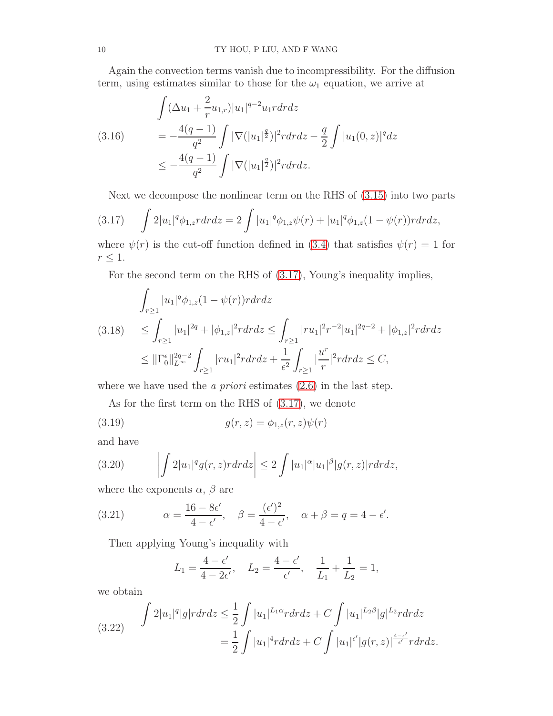Again the convection terms vanish due to incompressibility. For the diffusion term, using estimates similar to those for the  $\omega_1$  equation, we arrive at

$$
\int (\Delta u_1 + \frac{2}{r} u_{1,r}) |u_1|^{q-2} u_1 r dr dz
$$
\n
$$
= -\frac{4(q-1)}{q^2} \int |\nabla (|u_1|^{\frac{q}{2}})|^2 r dr dz - \frac{q}{2} \int |u_1(0, z)|^q dz
$$
\n
$$
\leq -\frac{4(q-1)}{q^2} \int |\nabla (|u_1|^{\frac{q}{2}})|^2 r dr dz.
$$

<span id="page-9-0"></span>Next we decompose the nonlinear term on the RHS of [\(3.15\)](#page-8-3) into two parts

$$
(3.17)\qquad \int 2|u_1|^q \phi_{1,z} r dr dz = 2 \int |u_1|^q \phi_{1,z} \psi(r) + |u_1|^q \phi_{1,z} (1 - \psi(r)) r dr dz,
$$

where  $\psi(r)$  is the cut-off function defined in [\(3.4\)](#page-6-3) that satisfies  $\psi(r) = 1$  for  $r \leq 1$ .

For the second term on the RHS of [\(3.17\)](#page-9-0), Young's inequality implies,

<span id="page-9-2"></span>
$$
\int_{r\geq 1} |u_1|^q \phi_{1,z}(1-\psi(r))r dr dz
$$
\n
$$
(3.18) \leq \int_{r\geq 1} |u_1|^{2q} + |\phi_{1,z}|^2 r dr dz \leq \int_{r\geq 1} |ru_1|^{2} r^{-2} |u_1|^{2q-2} + |\phi_{1,z}|^2 r dr dz
$$
\n
$$
\leq ||\Gamma_0^{\epsilon}||_{L^{\infty}}^{2q-2} \int_{r\geq 1} |ru_1|^{2} r dr dz + \frac{1}{\epsilon^2} \int_{r\geq 1} \left|\frac{u^r}{r}\right|^2 r dr dz \leq C,
$$

where we have used the *a priori* estimates  $(2.6)$  in the last step.

As for the first term on the RHS of [\(3.17\)](#page-9-0), we denote

(3.19) 
$$
g(r, z) = \phi_{1,z}(r, z)\psi(r)
$$

and have

(3.20) 
$$
\left| \int 2|u_1|^q g(r,z) r dr dz \right| \leq 2 \int |u_1|^\alpha |u_1|^\beta |g(r,z)| r dr dz,
$$

where the exponents  $\alpha$ ,  $\beta$  are

(3.21) 
$$
\alpha = \frac{16 - 8\epsilon'}{4 - \epsilon'}, \quad \beta = \frac{(\epsilon')^2}{4 - \epsilon'}, \quad \alpha + \beta = q = 4 - \epsilon'.
$$

Then applying Young's inequality with

$$
L_1 = \frac{4 - \epsilon'}{4 - 2\epsilon'}, \quad L_2 = \frac{4 - \epsilon'}{\epsilon'}, \quad \frac{1}{L_1} + \frac{1}{L_2} = 1,
$$

we obtain

<span id="page-9-1"></span>(3.22) 
$$
\int 2|u_1|^q |g| r dr dz \leq \frac{1}{2} \int |u_1|^{L_1 \alpha} r dr dz + C \int |u_1|^{L_2 \beta} |g|^{L_2} r dr dz
$$

$$
= \frac{1}{2} \int |u_1|^4 r dr dz + C \int |u_1|^{\epsilon'} |g(r, z)|^{\frac{4-\epsilon'}{\epsilon'}} r dr dz.
$$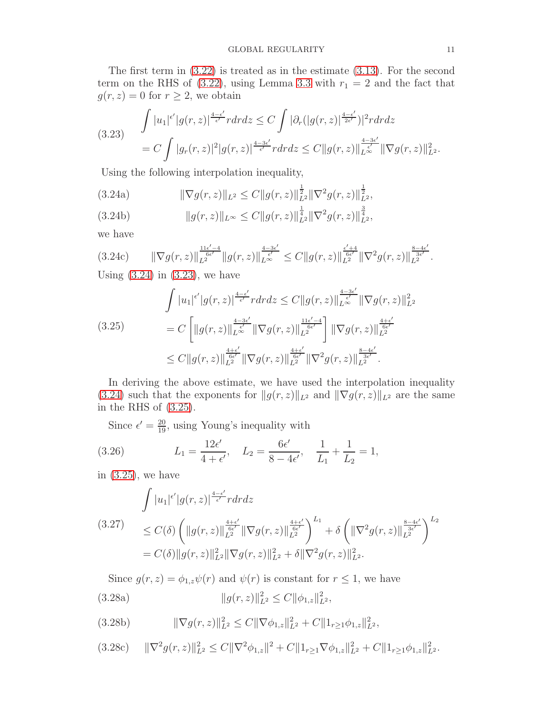The first term in [\(3.22\)](#page-9-1) is treated as in the estimate [\(3.13\)](#page-8-2). For the second term on the RHS of [\(3.22\)](#page-9-1), using Lemma [3.3](#page-6-2) with  $r_1 = 2$  and the fact that  $g(r, z) = 0$  for  $r \geq 2$ , we obtain

<span id="page-10-2"></span>
$$
\int |u_1|^{\epsilon'}|g(r,z)|^{\frac{4-\epsilon'}{\epsilon'}}r dr dz \leq C \int |\partial_r(|g(r,z)|^{\frac{4-\epsilon'}{2\epsilon'}})|^2 r dr dz
$$
\n
$$
= C \int |g_r(r,z)|^2 |g(r,z)|^{\frac{4-3\epsilon'}{\epsilon'}}r dr dz \leq C \|g(r,z)\|_{L^{\infty}}^{\frac{4-3\epsilon'}{\epsilon'}} \|\nabla g(r,z)\|_{L^2}^2.
$$

<span id="page-10-1"></span>Using the following interpolation inequality,

(3.24a) 
$$
\|\nabla g(r,z)\|_{L^2} \leq C \|g(r,z)\|_{L^2}^{\frac{1}{2}} \|\nabla^2 g(r,z)\|_{L^2}^{\frac{1}{2}},
$$

$$
(3.24b) \t\t\t ||g(r,z)||_{L^{\infty}} \leq C||g(r,z)||_{L^{2}}^{\frac{1}{4}}||\nabla^{2}g(r,z)||_{L^{2}}^{\frac{3}{4}},
$$

we have

$$
(3.24c) \qquad \|\nabla g(r,z)\|_{L^2}^{\frac{11\epsilon'-4}{6\epsilon'}} \|g(r,z)\|_{L^\infty}^{\frac{4-3\epsilon'}{\epsilon'}} \leq C \|g(r,z)\|_{L^2}^{\frac{\epsilon'+4}{6\epsilon'}} \|\nabla^2 g(r,z)\|_{L^2}^{\frac{8-4\epsilon'}{3\epsilon'}}.
$$

Using  $(3.24)$  in  $(3.23)$ , we have

<span id="page-10-3"></span>
$$
\int |u_1|^{\epsilon'} |g(r,z)|^{\frac{4-\epsilon'}{\epsilon'}} r dr dz \leq C \|g(r,z)\|_{L^{\infty}}^{\frac{4-3\epsilon'}{\epsilon'}} \|\nabla g(r,z)\|_{L^2}^{2}
$$
\n
$$
= C \left[ \|g(r,z)\|_{L^{\infty}}^{\frac{4-3\epsilon'}{\epsilon'}} \|\nabla g(r,z)\|_{L^2}^{\frac{11\epsilon'-4}{6\epsilon'}} \right] \|\nabla g(r,z)\|_{L^2}^{\frac{4+\epsilon'}{6\epsilon'}} \leq C \|g(r,z)\|_{L^2}^{\frac{4+\epsilon'}{6\epsilon'}} \|\nabla g(r,z)\|_{L^2}^{\frac{4+\epsilon'}{6\epsilon'}} \|\nabla^2 g(r,z)\|_{L^2}^{\frac{8-4\epsilon'}{3\epsilon'}}.
$$

In deriving the above estimate, we have used the interpolation inequality [\(3.24\)](#page-10-1) such that the exponents for  $||g(r, z)||_{L^2}$  and  $||\nabla g(r, z)||_{L^2}$  are the same in the RHS of [\(3.25\)](#page-10-3).

<span id="page-10-0"></span>Since  $\epsilon' = \frac{20}{19}$ , using Young's inequality with

(3.26) 
$$
L_1 = \frac{12\epsilon'}{4 + \epsilon'}, \quad L_2 = \frac{6\epsilon'}{8 - 4\epsilon'}, \quad \frac{1}{L_1} + \frac{1}{L_2} = 1,
$$

in  $(3.25)$ , we have

<span id="page-10-4"></span>
$$
\int |u_1|^{\epsilon'} |g(r,z)|^{\frac{4-\epsilon'}{\epsilon'}} r dr dz
$$
\n
$$
(3.27) \leq C(\delta) \left( \|g(r,z)\|_{L^2}^{\frac{4+\epsilon'}{6\epsilon'}} \|\nabla g(r,z)\|_{L^2}^{\frac{4+\epsilon'}{6\epsilon'}} \right)^{L_1} + \delta \left( \|\nabla^2 g(r,z)\|_{L^2}^{\frac{8-4\epsilon'}{3\epsilon'}} \right)^{L_2}
$$
\n
$$
= C(\delta) \|g(r,z)\|_{L^2}^2 \|\nabla g(r,z)\|_{L^2}^2 + \delta \|\nabla^2 g(r,z)\|_{L^2}^2.
$$

<span id="page-10-5"></span>Since  $g(r, z) = \phi_{1,z}\psi(r)$  and  $\psi(r)$  is constant for  $r \leq 1$ , we have (3.28a)  $||g(r, z)||_{L^2}^2 \le C ||\phi_{1,z}||_{L^2}^2$ ,

$$
(3.28b) \t\t\t \|\nabla g(r,z)\|_{L^2}^2 \leq C \|\nabla \phi_{1,z}\|_{L^2}^2 + C \|1_{r \geq 1} \phi_{1,z}\|_{L^2}^2,
$$

$$
(3.28c) \t\t ||\nabla^2 g(r,z)||^2_{L^2} \leq C||\nabla^2 \phi_{1,z}||^2 + C||1_{r \geq 1} \nabla \phi_{1,z}||^2_{L^2} + C||1_{r \geq 1} \phi_{1,z}||^2_{L^2}.
$$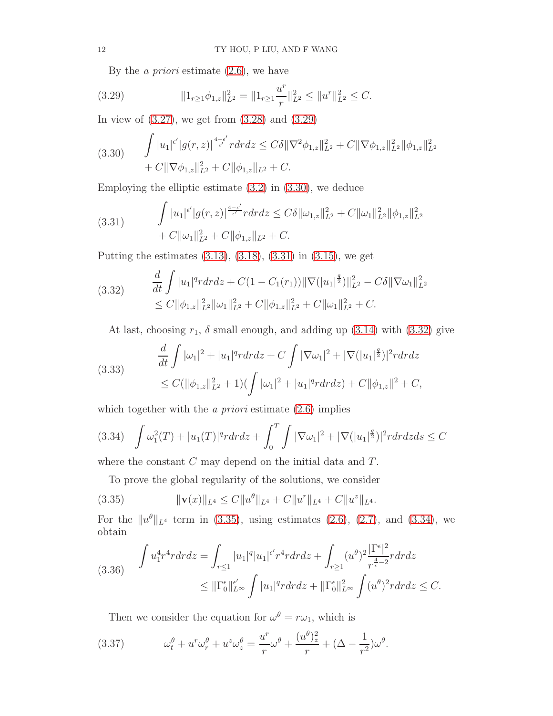<span id="page-11-0"></span>By the *a priori* estimate  $(2.6)$ , we have

(3.29) 
$$
||1_{r \geq 1}\phi_{1,z}||_{L^2}^2 = ||1_{r \geq 1}\frac{u^r}{r}||_{L^2}^2 \leq ||u^r||_{L^2}^2 \leq C.
$$

In view of [\(3.27\)](#page-10-4), we get from [\(3.28\)](#page-10-5) and [\(3.29\)](#page-11-0)

<span id="page-11-1"></span>
$$
(3.30) \qquad \int |u_1|^{\epsilon'} |g(r,z)|^{\frac{4-\epsilon'}{\epsilon'}} r dr dz \leq C\delta \|\nabla^2 \phi_{1,z}\|_{L^2}^2 + C \|\nabla \phi_{1,z}\|_{L^2}^2 \|\phi_{1,z}\|_{L^2}^2 + C \|\nabla \phi_{1,z}\|_{L^2}^2 + C \|\nabla \phi_{1,z}\|_{L^2}^2 + C.
$$

Employing the elliptic estimate [\(3.2\)](#page-6-4) in [\(3.30\)](#page-11-1), we deduce

<span id="page-11-2"></span>(3.31) 
$$
\int |u_1|^{\epsilon'} |g(r,z)|^{\frac{4-\epsilon'}{\epsilon'}} r dr dz \leq C \delta \|\omega_{1,z}\|_{L^2}^2 + C \|\omega_1\|_{L^2}^2 \|\phi_{1,z}\|_{L^2}^2 + C \|\omega_1\|_{L^2}^2 + C \|\phi_{1,z}\|_{L^2}^2 + C.
$$

Putting the estimates [\(3.13\)](#page-8-2), [\(3.18\)](#page-9-2), [\(3.31\)](#page-11-2) in [\(3.15\)](#page-8-3), we get

<span id="page-11-3"></span>
$$
(3.32) \quad \frac{d}{dt} \int |u_1|^q r dr dz + C (1 - C_1(r_1)) ||\nabla (|u_1|^{\frac{q}{2}})||_{L^2}^2 - C \delta ||\nabla \omega_1||_{L^2}^2
$$
  

$$
\leq C ||\phi_{1,z}||_{L^2}^2 ||\omega_1||_{L^2}^2 + C ||\phi_{1,z}||_{L^2}^2 + C ||\omega_1||_{L^2}^2 + C.
$$

At last, choosing  $r_1$ ,  $\delta$  small enough, and adding up [\(3.14\)](#page-8-4) with [\(3.32\)](#page-11-3) give

(3.33) 
$$
\frac{d}{dt} \int |\omega_1|^2 + |u_1|^q r dr dz + C \int |\nabla \omega_1|^2 + |\nabla (|u_1|^2)|^2 r dr dz
$$

$$
\leq C(||\phi_{1,z}||_{L^2}^2 + 1) (\int |\omega_1|^2 + |u_1|^q r dr dz) + C ||\phi_{1,z}||^2 + C,
$$

which together with the *a priori* estimate  $(2.6)$  implies

<span id="page-11-5"></span>
$$
(3.34)\quad \int \omega_1^2(T) + |u_1(T)|^q r dr dz + \int_0^T \int |\nabla \omega_1|^2 + |\nabla (|u_1|^{\frac{q}{2}})|^2 r dr dz ds \le C
$$

where the constant  $C$  may depend on the initial data and  $T$ .

<span id="page-11-4"></span>To prove the global regularity of the solutions, we consider

(3.35) 
$$
\|\mathbf{v}(x)\|_{L^4} \leq C \|u^{\theta}\|_{L^4} + C \|u^r\|_{L^4} + C \|u^z\|_{L^4}.
$$

For the  $||u^{\theta}||_{L^{4}}$  term in [\(3.35\)](#page-11-4), using estimates [\(2.6\)](#page-4-3), [\(2.7\)](#page-4-2), and [\(3.34\)](#page-11-5), we obtain

<span id="page-11-7"></span>
$$
(3.36) \quad \int u_1^4 r^4 r dr dz = \int_{r \le 1} |u_1|^q |u_1|^{\epsilon'} r^4 r dr dz + \int_{r \ge 1} (u^{\theta})^2 \frac{|\Gamma^{\epsilon}|^2}{r^{\frac{4}{\epsilon} - 2}} r dr dz
$$
  

$$
\le ||\Gamma_0^{\epsilon}||_{L^{\infty}}^{\epsilon'} \int |u_1|^q r dr dz + ||\Gamma_0^{\epsilon}||_{L^{\infty}}^2 \int (u^{\theta})^2 r dr dz \le C.
$$

<span id="page-11-6"></span>Then we consider the equation for  $\omega^{\theta} = r \omega_1$ , which is

(3.37) 
$$
\omega_t^{\theta} + u^r \omega_r^{\theta} + u^z \omega_z^{\theta} = \frac{u^r}{r} \omega^{\theta} + \frac{(u^{\theta})_z^2}{r} + (\Delta - \frac{1}{r^2}) \omega^{\theta}.
$$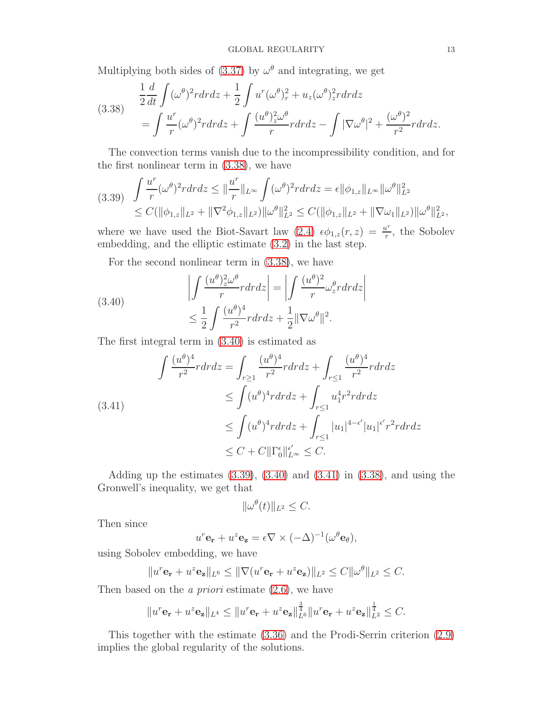Multiplying both sides of  $(3.37)$  by  $\omega^{\theta}$  and integrating, we get

<span id="page-12-0"></span>(3.38) 
$$
\frac{1}{2}\frac{d}{dt}\int (\omega^{\theta})^2 r dr dz + \frac{1}{2}\int u^r (\omega^{\theta})_r^2 + u_z(\omega^{\theta})_z^2 r dr dz
$$

$$
= \int \frac{u^r}{r} (\omega^{\theta})^2 r dr dz + \int \frac{(u^{\theta})_z^2 \omega^{\theta}}{r} r dr dz - \int |\nabla \omega^{\theta}|^2 + \frac{(\omega^{\theta})^2}{r^2} r dr dz.
$$

The convection terms vanish due to the incompressibility condition, and for the first nonlinear term in [\(3.38\)](#page-12-0), we have

<span id="page-12-2"></span>
$$
(3.39) \int \frac{u^r}{r} (\omega^{\theta})^2 r dr dz \leq \|\frac{u^r}{r}\|_{L^{\infty}} \int (\omega^{\theta})^2 r dr dz = \epsilon \|\phi_{1,z}\|_{L^{\infty}} \|\omega^{\theta}\|_{L^2}^2
$$
  

$$
\leq C(\|\phi_{1,z}\|_{L^2} + \|\nabla^2 \phi_{1,z}\|_{L^2}) \|\omega^{\theta}\|_{L^2}^2 \leq C(\|\phi_{1,z}\|_{L^2} + \|\nabla \omega_1\|_{L^2}) \|\omega^{\theta}\|_{L^2}^2,
$$

where we have used the Biot-Savart law [\(2.4\)](#page-3-0)  $\epsilon \phi_{1,z}(r, z) = \frac{u^r}{r}$  $\frac{u^r}{r}$ , the Sobolev embedding, and the elliptic estimate [\(3.2\)](#page-6-4) in the last step.

For the second nonlinear term in [\(3.38\)](#page-12-0), we have

<span id="page-12-1"></span>(3.40) 
$$
\left| \int \frac{(u^{\theta})_z^2 \omega^{\theta}}{r} r dr dz \right| = \left| \int \frac{(u^{\theta})^2}{r} \omega_z^{\theta} r dr dz \right|
$$

$$
\leq \frac{1}{2} \int \frac{(u^{\theta})^4}{r^2} r dr dz + \frac{1}{2} ||\nabla \omega^{\theta}||^2.
$$

The first integral term in [\(3.40\)](#page-12-1) is estimated as

<span id="page-12-3"></span>
$$
\int \frac{(u^{\theta})^4}{r^2} r dr dz = \int_{r \ge 1} \frac{(u^{\theta})^4}{r^2} r dr dz + \int_{r \le 1} \frac{(u^{\theta})^4}{r^2} r dr dz
$$
\n
$$
\le \int (u^{\theta})^4 r dr dz + \int_{r \le 1} u_1^4 r^2 r dr dz
$$
\n
$$
\le \int (u^{\theta})^4 r dr dz + \int_{r \le 1} |u_1|^{4-\epsilon'} |u_1|^{\epsilon'} r^2 r dr dz
$$
\n
$$
\le C + C ||\Gamma_0^{\epsilon}||_{L^{\infty}}^{\epsilon'} \le C.
$$

Adding up the estimates  $(3.39)$ ,  $(3.40)$  and  $(3.41)$  in  $(3.38)$ , and using the Gronwell's inequality, we get that

$$
\|\omega^{\theta}(t)\|_{L^2} \leq C.
$$

Then since

$$
u^r \mathbf{e_r} + u^z \mathbf{e_z} = \epsilon \nabla \times (-\Delta)^{-1} (\omega^\theta \mathbf{e_\theta}),
$$

using Sobolev embedding, we have

$$
||u^r \mathbf{e_r} + u^z \mathbf{e_z}||_{L^6} \le ||\nabla (u^r \mathbf{e_r} + u^z \mathbf{e_z})||_{L^2} \le C ||\omega^{\theta}||_{L^2} \le C.
$$

Then based on the *a priori* estimate  $(2.6)$ , we have

$$
||u^r \mathbf{e_r} + u^z \mathbf{e_z}||_{L^4} \le ||u^r \mathbf{e_r} + u^z \mathbf{e_z}||_{L^6}^{\frac{3}{4}}||u^r \mathbf{e_r} + u^z \mathbf{e_z}||_{L^2}^{\frac{1}{4}} \le C.
$$

This together with the estimate [\(3.36\)](#page-11-7) and the Prodi-Serrin criterion [\(2.9\)](#page-5-0) implies the global regularity of the solutions.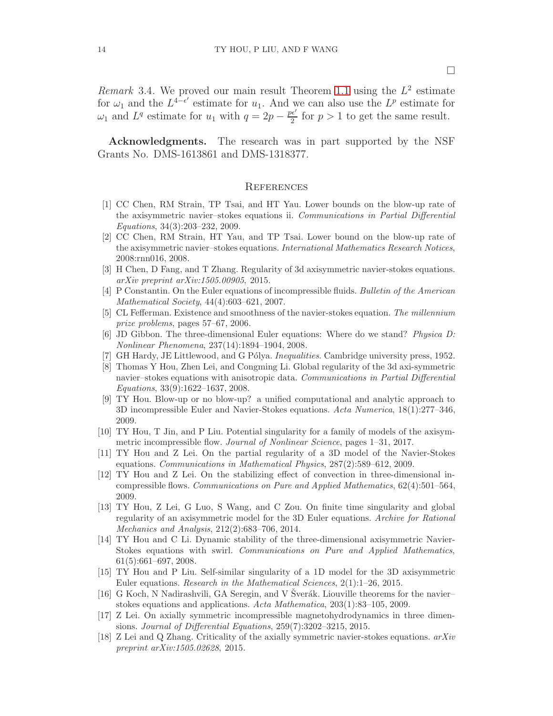Remark 3.4. We proved our main result Theorem [1.1](#page-2-2) using the  $L^2$  estimate for  $\omega_1$  and the  $L^{4-\epsilon'}$  estimate for  $u_1$ . And we can also use the  $L^p$  estimate for  $\omega_1$  and  $L^q$  estimate for  $u_1$  with  $q=2p-\frac{pe'}{2}$  for  $p>1$  to get the same result.

Acknowledgments. The research was in part supported by the NSF Grants No. DMS-1613861 and DMS-1318377.

#### **REFERENCES**

- <span id="page-13-11"></span>[1] CC Chen, RM Strain, TP Tsai, and HT Yau. Lower bounds on the blow-up rate of the axisymmetric navier–stokes equations ii. Communications in Partial Differential Equations, 34(3):203–232, 2009.
- <span id="page-13-10"></span>[2] CC Chen, RM Strain, HT Yau, and TP Tsai. Lower bound on the blow-up rate of the axisymmetric navier–stokes equations. International Mathematics Research Notices, 2008:rnn016, 2008.
- <span id="page-13-13"></span>[3] H Chen, D Fang, and T Zhang. Regularity of 3d axisymmetric navier-stokes equations. arXiv preprint arXiv:1505.00905, 2015.
- <span id="page-13-1"></span>[4] P Constantin. On the Euler equations of incompressible fluids. Bulletin of the American Mathematical Society, 44(4):603–621, 2007.
- <span id="page-13-0"></span>[5] CL Fefferman. Existence and smoothness of the navier-stokes equation. The millennium prize problems, pages 57–67, 2006.
- <span id="page-13-2"></span>[6] JD Gibbon. The three-dimensional Euler equations: Where do we stand? Physica D: Nonlinear Phenomena, 237(14):1894–1904, 2008.
- <span id="page-13-16"></span><span id="page-13-15"></span>[7] GH Hardy, JE Littlewood, and G Pólya. *Inequalities*. Cambridge university press, 1952.
- [8] Thomas Y Hou, Zhen Lei, and Congming Li. Global regularity of the 3d axi-symmetric navier–stokes equations with anisotropic data. Communications in Partial Differential Equations, 33(9):1622–1637, 2008.
- <span id="page-13-3"></span>[9] TY Hou. Blow-up or no blow-up? a unified computational and analytic approach to 3D incompressible Euler and Navier-Stokes equations. Acta Numerica, 18(1):277–346, 2009.
- <span id="page-13-4"></span>[10] TY Hou, T Jin, and P Liu. Potential singularity for a family of models of the axisymmetric incompressible flow. Journal of Nonlinear Science, pages  $1-31$ ,  $2017$ .
- <span id="page-13-6"></span>[11] TY Hou and Z Lei. On the partial regularity of a 3D model of the Navier-Stokes equations. Communications in Mathematical Physics, 287(2):589–612, 2009.
- <span id="page-13-5"></span>[12] TY Hou and Z Lei. On the stabilizing effect of convection in three-dimensional incompressible flows. Communications on Pure and Applied Mathematics, 62(4):501–564, 2009.
- <span id="page-13-7"></span>[13] TY Hou, Z Lei, G Luo, S Wang, and C Zou. On finite time singularity and global regularity of an axisymmetric model for the 3D Euler equations. Archive for Rational Mechanics and Analysis, 212(2):683–706, 2014.
- <span id="page-13-8"></span>[14] TY Hou and C Li. Dynamic stability of the three-dimensional axisymmetric Navier-Stokes equations with swirl. Communications on Pure and Applied Mathematics, 61(5):661–697, 2008.
- <span id="page-13-9"></span>[15] TY Hou and P Liu. Self-similar singularity of a 1D model for the 3D axisymmetric Euler equations. Research in the Mathematical Sciences, 2(1):1–26, 2015.
- <span id="page-13-12"></span>[16] G Koch, N Nadirashvili, GA Seregin, and V Sverák. Liouville theorems for the navier– stokes equations and applications. Acta Mathematica, 203(1):83–105, 2009.
- <span id="page-13-17"></span>[17] Z Lei. On axially symmetric incompressible magnetohydrodynamics in three dimensions. Journal of Differential Equations, 259(7):3202–3215, 2015.
- <span id="page-13-14"></span>[18] Z Lei and Q Zhang. Criticality of the axially symmetric navier-stokes equations. arXiv preprint arXiv:1505.02628, 2015.